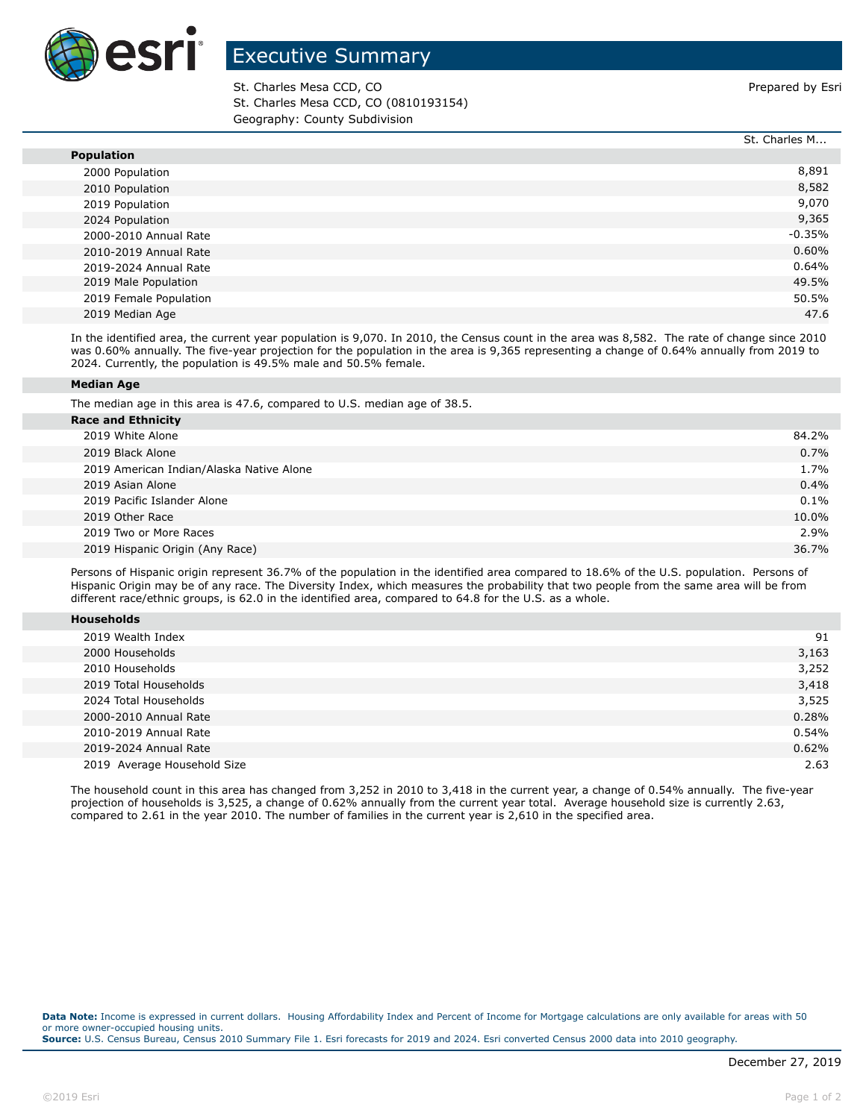

## Executive Summary

St. Charles Mesa CCD, CO **Prepared by Estimate St. Charles Mesa CCD**, CO St. Charles Mesa CCD, CO (0810193154) Geography: County Subdivision

|                        | St. Charles M |
|------------------------|---------------|
| <b>Population</b>      |               |
| 2000 Population        | 8,891         |
| 2010 Population        | 8,582         |
| 2019 Population        | 9,070         |
| 2024 Population        | 9,365         |
| 2000-2010 Annual Rate  | $-0.35%$      |
| 2010-2019 Annual Rate  | 0.60%         |
| 2019-2024 Annual Rate  | 0.64%         |
| 2019 Male Population   | 49.5%         |
| 2019 Female Population | 50.5%         |
| 2019 Median Age        | 47.6          |

In the identified area, the current year population is 9,070. In 2010, the Census count in the area was 8,582. The rate of change since 2010 was 0.60% annually. The five-year projection for the population in the area is 9,365 representing a change of 0.64% annually from 2019 to 2024. Currently, the population is 49.5% male and 50.5% female.

## **Median Age**

The median age in this area is 47.6, compared to U.S. median age of 38.5.

| <b>Race and Ethnicity</b>                |       |
|------------------------------------------|-------|
| 2019 White Alone                         | 84.2% |
| 2019 Black Alone                         | 0.7%  |
| 2019 American Indian/Alaska Native Alone | 1.7%  |
| 2019 Asian Alone                         | 0.4%  |
| 2019 Pacific Islander Alone              | 0.1%  |
| 2019 Other Race                          | 10.0% |
| 2019 Two or More Races                   | 2.9%  |
| 2019 Hispanic Origin (Any Race)          | 36.7% |
|                                          |       |

Persons of Hispanic origin represent 36.7% of the population in the identified area compared to 18.6% of the U.S. population. Persons of Hispanic Origin may be of any race. The Diversity Index, which measures the probability that two people from the same area will be from different race/ethnic groups, is 62.0 in the identified area, compared to 64.8 for the U.S. as a whole.

| <b>Households</b> |  |
|-------------------|--|
|                   |  |

| 2019 Wealth Index           | 91    |
|-----------------------------|-------|
| 2000 Households             | 3,163 |
| 2010 Households             | 3,252 |
| 2019 Total Households       | 3,418 |
| 2024 Total Households       | 3,525 |
| 2000-2010 Annual Rate       | 0.28% |
| 2010-2019 Annual Rate       | 0.54% |
| 2019-2024 Annual Rate       | 0.62% |
| 2019 Average Household Size | 2.63  |

The household count in this area has changed from 3,252 in 2010 to 3,418 in the current year, a change of 0.54% annually. The five-year projection of households is 3,525, a change of 0.62% annually from the current year total. Average household size is currently 2.63, compared to 2.61 in the year 2010. The number of families in the current year is 2,610 in the specified area.

**Data Note:** Income is expressed in current dollars. Housing Affordability Index and Percent of Income for Mortgage calculations are only available for areas with 50 or more owner-occupied housing units. **Source:** U.S. Census Bureau, Census 2010 Summary File 1. Esri forecasts for 2019 and 2024. Esri converted Census 2000 data into 2010 geography.